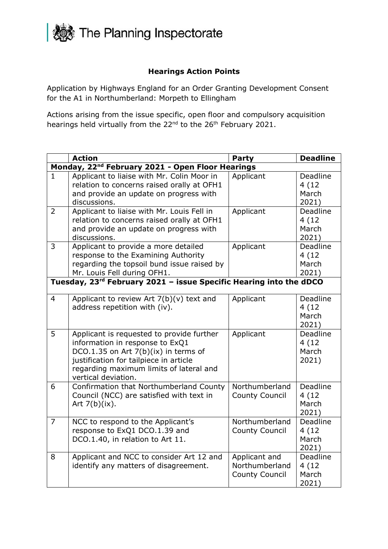

## **Hearings Action Points**

Application by Highways England for an Order Granting Development Consent for the A1 in Northumberland: Morpeth to Ellingham

Actions arising from the issue specific, open floor and compulsory acquisition hearings held virtually from the 22<sup>nd</sup> to the 26<sup>th</sup> February 2021.

|                                                              | <b>Action</b>                                                                                                                                                                                                                    | Party                                                    | <b>Deadline</b>                     |  |  |
|--------------------------------------------------------------|----------------------------------------------------------------------------------------------------------------------------------------------------------------------------------------------------------------------------------|----------------------------------------------------------|-------------------------------------|--|--|
| Monday, 22 <sup>nd</sup> February 2021 - Open Floor Hearings |                                                                                                                                                                                                                                  |                                                          |                                     |  |  |
| 1                                                            | Applicant to liaise with Mr. Colin Moor in<br>relation to concerns raised orally at OFH1<br>and provide an update on progress with<br>discussions.                                                                               | Applicant                                                | Deadline<br>4(12)<br>March<br>2021) |  |  |
| $\overline{2}$                                               | Applicant to liaise with Mr. Louis Fell in<br>relation to concerns raised orally at OFH1<br>and provide an update on progress with<br>discussions.                                                                               | Applicant                                                | Deadline<br>4(12)<br>March<br>2021) |  |  |
| $\overline{3}$                                               | Applicant to provide a more detailed<br>response to the Examining Authority<br>regarding the topsoil bund issue raised by<br>Mr. Louis Fell during OFH1.                                                                         | Applicant                                                | Deadline<br>4(12)<br>March<br>2021) |  |  |
|                                                              | Tuesday, 23 <sup>rd</sup> February 2021 - issue Specific Hearing into the dDCO                                                                                                                                                   |                                                          |                                     |  |  |
| $\overline{4}$                                               | Applicant to review Art $7(b)(v)$ text and<br>address repetition with (iv).                                                                                                                                                      | Applicant                                                | Deadline<br>4(12)<br>March<br>2021) |  |  |
| 5                                                            | Applicant is requested to provide further<br>information in response to ExQ1<br>DCO.1.35 on Art 7(b)(ix) in terms of<br>justification for tailpiece in article<br>regarding maximum limits of lateral and<br>vertical deviation. | Applicant                                                | Deadline<br>4(12)<br>March<br>2021) |  |  |
| 6                                                            | Confirmation that Northumberland County<br>Council (NCC) are satisfied with text in<br>Art $7(b)(ix)$ .                                                                                                                          | Northumberland<br><b>County Council</b>                  | Deadline<br>4(12)<br>March<br>2021) |  |  |
| $\overline{7}$                                               | NCC to respond to the Applicant's<br>response to ExQ1 DCO.1.39 and<br>DCO.1.40, in relation to Art 11.                                                                                                                           | Northumberland<br><b>County Council</b>                  | Deadline<br>4(12)<br>March<br>2021) |  |  |
| 8                                                            | Applicant and NCC to consider Art 12 and<br>identify any matters of disagreement.                                                                                                                                                | Applicant and<br>Northumberland<br><b>County Council</b> | Deadline<br>4(12)<br>March<br>2021) |  |  |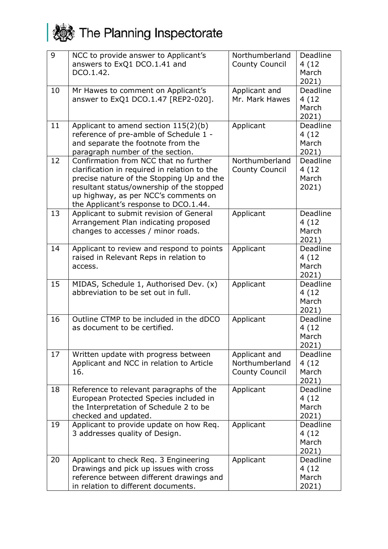## **A** The Planning Inspectorate

| 9  | NCC to provide answer to Applicant's<br>answers to ExQ1 DCO.1.41 and<br>DCO.1.42.                                                                                                                                                                                | Northumberland<br><b>County Council</b>                  | Deadline<br>4(12)<br>March<br>2021) |
|----|------------------------------------------------------------------------------------------------------------------------------------------------------------------------------------------------------------------------------------------------------------------|----------------------------------------------------------|-------------------------------------|
| 10 | Mr Hawes to comment on Applicant's<br>answer to ExQ1 DCO.1.47 [REP2-020].                                                                                                                                                                                        | Applicant and<br>Mr. Mark Hawes                          | Deadline<br>4(12)<br>March<br>2021) |
| 11 | Applicant to amend section $115(2)(b)$<br>reference of pre-amble of Schedule 1 -<br>and separate the footnote from the<br>paragraph number of the section.                                                                                                       | Applicant                                                | Deadline<br>4(12)<br>March<br>2021) |
| 12 | Confirmation from NCC that no further<br>clarification in required in relation to the<br>precise nature of the Stopping Up and the<br>resultant status/ownership of the stopped<br>up highway, as per NCC's comments on<br>the Applicant's response to DCO.1.44. | Northumberland<br><b>County Council</b>                  | Deadline<br>4(12)<br>March<br>2021) |
| 13 | Applicant to submit revision of General<br>Arrangement Plan indicating proposed<br>changes to accesses / minor roads.                                                                                                                                            | Applicant                                                | Deadline<br>4(12)<br>March<br>2021) |
| 14 | Applicant to review and respond to points<br>raised in Relevant Reps in relation to<br>access.                                                                                                                                                                   | Applicant                                                | Deadline<br>4(12)<br>March<br>2021) |
| 15 | MIDAS, Schedule 1, Authorised Dev. (x)<br>abbreviation to be set out in full.                                                                                                                                                                                    | Applicant                                                | Deadline<br>4(12)<br>March<br>2021) |
| 16 | Outline CTMP to be included in the dDCO<br>as document to be certified.                                                                                                                                                                                          | Applicant                                                | Deadline<br>4(12)<br>March<br>2021) |
| 17 | Written update with progress between<br>Applicant and NCC in relation to Article<br>16.                                                                                                                                                                          | Applicant and<br>Northumberland<br><b>County Council</b> | Deadline<br>4(12)<br>March<br>2021) |
| 18 | Reference to relevant paragraphs of the<br>European Protected Species included in<br>the Interpretation of Schedule 2 to be<br>checked and updated.                                                                                                              | Applicant                                                | Deadline<br>4(12)<br>March<br>2021) |
| 19 | Applicant to provide update on how Req.<br>3 addresses quality of Design.                                                                                                                                                                                        | Applicant                                                | Deadline<br>4(12)<br>March<br>2021) |
| 20 | Applicant to check Req. 3 Engineering<br>Drawings and pick up issues with cross<br>reference between different drawings and<br>in relation to different documents.                                                                                               | Applicant                                                | Deadline<br>4(12)<br>March<br>2021) |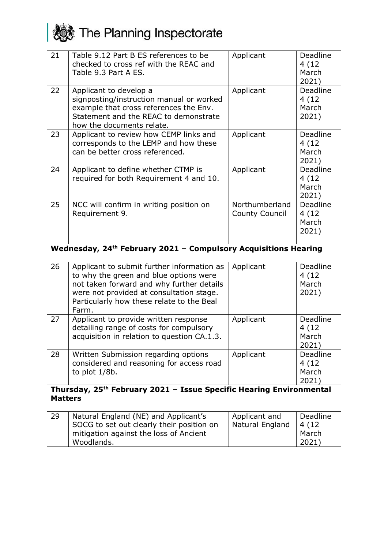## **A** The Planning Inspectorate

| 21                                                                                                | Table 9.12 Part B ES references to be<br>checked to cross ref with the REAC and<br>Table 9.3 Part A ES.                                                                                                                             | Applicant                               | Deadline<br>4(12)<br>March<br>2021)  |  |
|---------------------------------------------------------------------------------------------------|-------------------------------------------------------------------------------------------------------------------------------------------------------------------------------------------------------------------------------------|-----------------------------------------|--------------------------------------|--|
| 22                                                                                                | Applicant to develop a<br>signposting/instruction manual or worked<br>example that cross references the Env.<br>Statement and the REAC to demonstrate<br>how the documents relate.                                                  | Applicant                               | Deadline<br>4(12)<br>March<br>2021)  |  |
| 23                                                                                                | Applicant to review how CEMP links and<br>corresponds to the LEMP and how these<br>can be better cross referenced.                                                                                                                  | Applicant                               | Deadline<br>4(12)<br>March<br>2021)  |  |
| 24                                                                                                | Applicant to define whether CTMP is<br>required for both Requirement 4 and 10.                                                                                                                                                      | Applicant                               | Deadline<br>4(12)<br>March<br>2021)  |  |
| 25                                                                                                | NCC will confirm in writing position on<br>Requirement 9.                                                                                                                                                                           | Northumberland<br><b>County Council</b> | Deadline<br>4 (12)<br>March<br>2021) |  |
|                                                                                                   | Wednesday, 24 <sup>th</sup> February 2021 - Compulsory Acquisitions Hearing                                                                                                                                                         |                                         |                                      |  |
| 26                                                                                                | Applicant to submit further information as<br>to why the green and blue options were<br>not taken forward and why further details<br>were not provided at consultation stage.<br>Particularly how these relate to the Beal<br>Farm. | Applicant                               | Deadline<br>4(12)<br>March<br>2021)  |  |
| 27                                                                                                | Applicant to provide written response<br>detailing range of costs for compulsory<br>acquisition in relation to question CA.1.3.                                                                                                     | Applicant                               | Deadline<br>4(12)<br>March<br>2021)  |  |
| 28                                                                                                | Written Submission regarding options<br>considered and reasoning for access road<br>to plot $1/8b$ .                                                                                                                                | Applicant                               | Deadline<br>4(12)<br>March<br>2021)  |  |
| Thursday, 25 <sup>th</sup> February 2021 - Issue Specific Hearing Environmental<br><b>Matters</b> |                                                                                                                                                                                                                                     |                                         |                                      |  |
| 29                                                                                                | Natural England (NE) and Applicant's<br>SOCG to set out clearly their position on<br>mitigation against the loss of Ancient                                                                                                         | Applicant and<br>Natural England        | <b>Deadline</b><br>4(12)<br>March    |  |